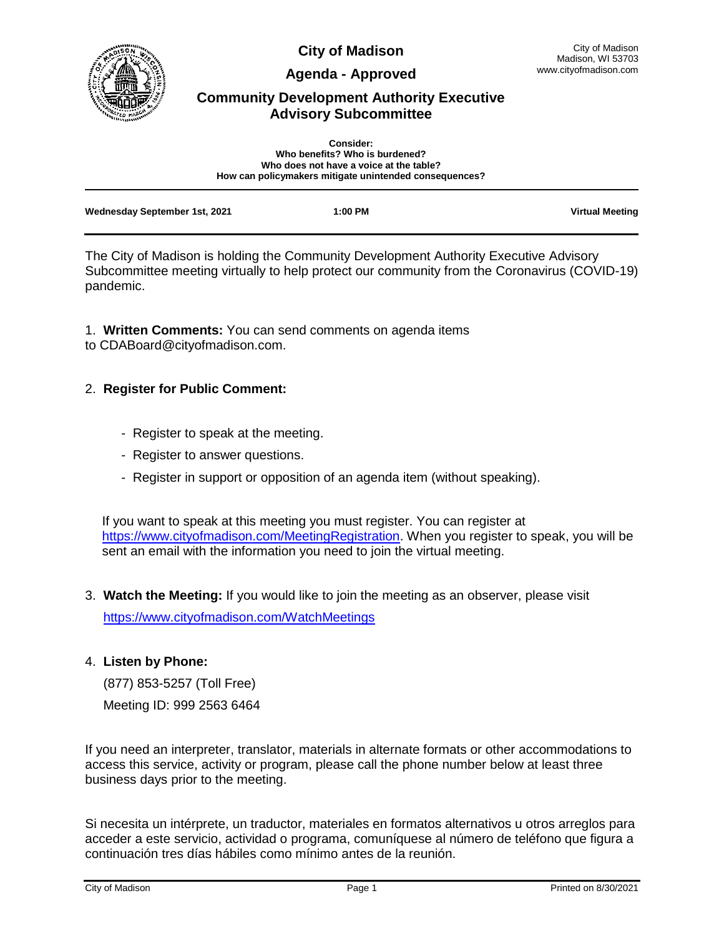

**City of Madison**

**Agenda - Approved**

# **Community Development Authority Executive Advisory Subcommittee**

| <b>Consider:</b><br>Who benefits? Who is burdened?<br>Who does not have a voice at the table? |                                                        |                        |
|-----------------------------------------------------------------------------------------------|--------------------------------------------------------|------------------------|
|                                                                                               | How can policymakers mitigate unintended consequences? |                        |
| Wednesday September 1st, 2021                                                                 | 1:00 PM                                                | <b>Virtual Meeting</b> |

The City of Madison is holding the Community Development Authority Executive Advisory Subcommittee meeting virtually to help protect our community from the Coronavirus (COVID-19) pandemic.

1. **Written Comments:** You can send comments on agenda items to CDABoard@cityofmadison.com.

# 2. **Register for Public Comment:**

- Register to speak at the meeting.
- Register to answer questions.
- Register in support or opposition of an agenda item (without speaking).

If you want to speak at this meeting you must register. You can register at [https://www.cityofmadison.com/MeetingRegistration.](https://www.cityofmadison.com/MeetingRegistration) When you register to speak, you will be sent an email with the information you need to join the virtual meeting.

3. **Watch the Meeting:** If you would like to join the meeting as an observer, please visit

<https://www.cityofmadison.com/WatchMeetings>

## 4. **Listen by Phone:**

(877) 853-5257 (Toll Free)

Meeting ID: 999 2563 6464

If you need an interpreter, translator, materials in alternate formats or other accommodations to access this service, activity or program, please call the phone number below at least three business days prior to the meeting.

Si necesita un intérprete, un traductor, materiales en formatos alternativos u otros arreglos para acceder a este servicio, actividad o programa, comuníquese al número de teléfono que figura a continuación tres días hábiles como mínimo antes de la reunión.